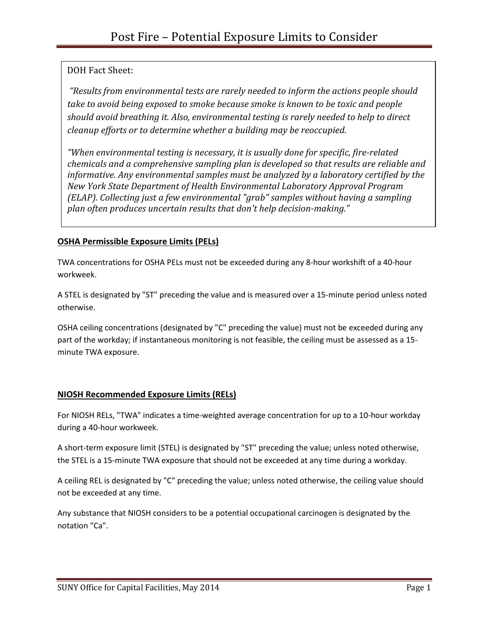### DOH Fact Sheet:

*"Results from environmental tests are rarely needed to inform the actions people should take to avoid being exposed to smoke because smoke is known to be toxic and people should avoid breathing it. Also, environmental testing is rarely needed to help to direct cleanup efforts or to determine whether a building may be reoccupied.* 

*"When environmental testing is necessary, it is usually done for specific, fire-related chemicals and a comprehensive sampling plan is developed so that results are reliable and informative. Any environmental samples must be analyzed by a laboratory certified by the New York State Department of Health Environmental Laboratory Approval Program (ELAP). Collecting just a few environmental "grab" samples without having a sampling plan often produces uncertain results that don't help decision-making."*

### **OSHA Permissible Exposure Limits (PELs)**

TWA concentrations for OSHA PELs must not be exceeded during any 8-hour workshift of a 40-hour workweek.

A STEL is designated by "ST" preceding the value and is measured over a 15-minute period unless noted otherwise.

OSHA ceiling concentrations (designated by "C" preceding the value) must not be exceeded during any part of the workday; if instantaneous monitoring is not feasible, the ceiling must be assessed as a 15 minute TWA exposure.

### **NIOSH Recommended Exposure Limits (RELs)**

For NIOSH RELs, "TWA" indicates a time-weighted average concentration for up to a 10-hour workday during a 40-hour workweek.

A short-term exposure limit (STEL) is designated by "ST" preceding the value; unless noted otherwise, the STEL is a 15-minute TWA exposure that should not be exceeded at any time during a workday.

A ceiling REL is designated by "C" preceding the value; unless noted otherwise, the ceiling value should not be exceeded at any time.

Any substance that NIOSH considers to be a potential occupational carcinogen is designated by the notation "Ca".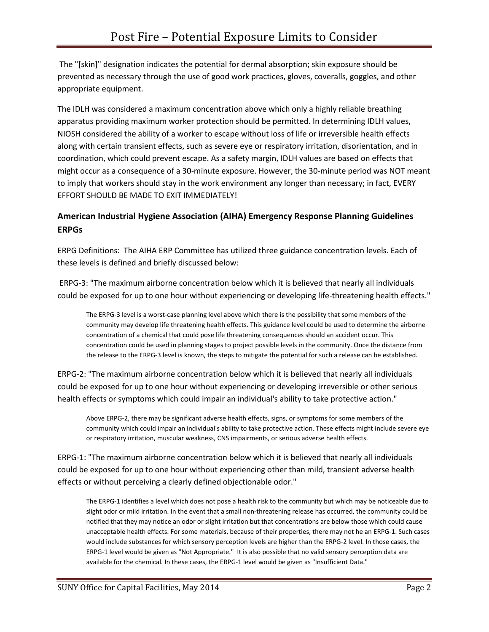The "[skin]" designation indicates the potential for dermal absorption; skin exposure should be prevented as necessary through the use of good work practices, gloves, coveralls, goggles, and other appropriate equipment.

The IDLH was considered a maximum concentration above which only a highly reliable breathing apparatus providing maximum worker protection should be permitted. In determining IDLH values, NIOSH considered the ability of a worker to escape without loss of life or irreversible health effects along with certain transient effects, such as severe eye or respiratory irritation, disorientation, and in coordination, which could prevent escape. As a safety margin, IDLH values are based on effects that might occur as a consequence of a 30-minute exposure. However, the 30-minute period was NOT meant to imply that workers should stay in the work environment any longer than necessary; in fact, EVERY EFFORT SHOULD BE MADE TO EXIT IMMEDIATELY!

### **American Industrial Hygiene Association (AIHA) Emergency Response Planning Guidelines ERPGs**

ERPG Definitions: The AIHA ERP Committee has utilized three guidance concentration levels. Each of these levels is defined and briefly discussed below:

ERPG-3: "The maximum airborne concentration below which it is believed that nearly all individuals could be exposed for up to one hour without experiencing or developing life-threatening health effects."

The ERPG-3 level is a worst-case planning level above which there is the possibility that some members of the community may develop life threatening health effects. This guidance level could be used to determine the airborne concentration of a chemical that could pose life threatening consequences should an accident occur. This concentration could be used in planning stages to project possible levels in the community. Once the distance from the release to the ERPG-3 level is known, the steps to mitigate the potential for such a release can be established.

ERPG-2: "The maximum airborne concentration below which it is believed that nearly all individuals could be exposed for up to one hour without experiencing or developing irreversible or other serious health effects or symptoms which could impair an individual's ability to take protective action."

Above ERPG-2, there may be significant adverse health effects, signs, or symptoms for some members of the community which could impair an individual's ability to take protective action. These effects might include severe eye or respiratory irritation, muscular weakness, CNS impairments, or serious adverse health effects.

ERPG-1: "The maximum airborne concentration below which it is believed that nearly all individuals could be exposed for up to one hour without experiencing other than mild, transient adverse health effects or without perceiving a clearly defined objectionable odor."

The ERPG-1 identifies a level which does not pose a health risk to the community but which may be noticeable due to slight odor or mild irritation. In the event that a small non-threatening release has occurred, the community could be notified that they may notice an odor or slight irritation but that concentrations are below those which could cause unacceptable health effects. For some materials, because of their properties, there may not he an ERPG-1. Such cases would include substances for which sensory perception levels are higher than the ERPG-2 level. In those cases, the ERPG-1 level would be given as "Not Appropriate." It is also possible that no valid sensory perception data are available for the chemical. In these cases, the ERPG-1 level would be given as "Insufficient Data."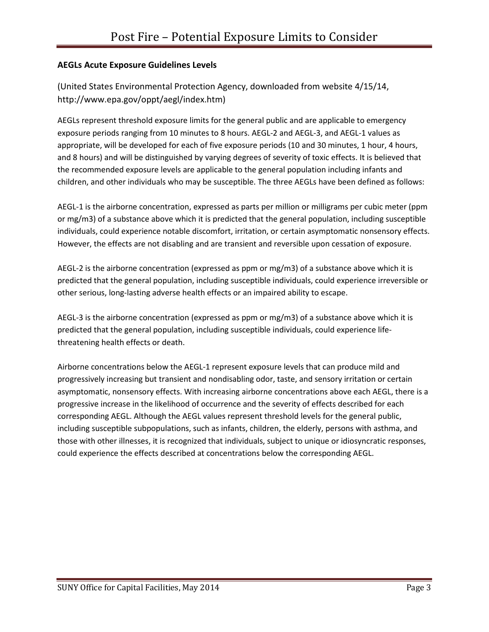#### **AEGLs Acute Exposure Guidelines Levels**

(United States Environmental Protection Agency, downloaded from website 4/15/14, http://www.epa.gov/oppt/aegl/index.htm)

AEGLs represent threshold exposure limits for the general public and are applicable to emergency exposure periods ranging from 10 minutes to 8 hours. AEGL-2 and AEGL-3, and AEGL-1 values as appropriate, will be developed for each of five exposure periods (10 and 30 minutes, 1 hour, 4 hours, and 8 hours) and will be distinguished by varying degrees of severity of toxic effects. It is believed that the recommended exposure levels are applicable to the general population including infants and children, and other individuals who may be susceptible. The three AEGLs have been defined as follows:

AEGL-1 is the airborne concentration, expressed as parts per million or milligrams per cubic meter (ppm or mg/m3) of a substance above which it is predicted that the general population, including susceptible individuals, could experience notable discomfort, irritation, or certain asymptomatic nonsensory effects. However, the effects are not disabling and are transient and reversible upon cessation of exposure.

AEGL-2 is the airborne concentration (expressed as ppm or mg/m3) of a substance above which it is predicted that the general population, including susceptible individuals, could experience irreversible or other serious, long-lasting adverse health effects or an impaired ability to escape.

AEGL-3 is the airborne concentration (expressed as ppm or mg/m3) of a substance above which it is predicted that the general population, including susceptible individuals, could experience lifethreatening health effects or death.

Airborne concentrations below the AEGL-1 represent exposure levels that can produce mild and progressively increasing but transient and nondisabling odor, taste, and sensory irritation or certain asymptomatic, nonsensory effects. With increasing airborne concentrations above each AEGL, there is a progressive increase in the likelihood of occurrence and the severity of effects described for each corresponding AEGL. Although the AEGL values represent threshold levels for the general public, including susceptible subpopulations, such as infants, children, the elderly, persons with asthma, and those with other illnesses, it is recognized that individuals, subject to unique or idiosyncratic responses, could experience the effects described at concentrations below the corresponding AEGL.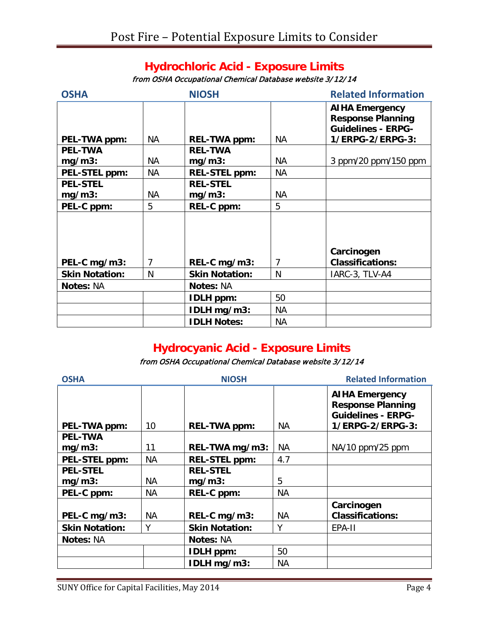## **Hydrochloric Acid - Exposure Limits**

from OSHA Occupational Chemical Database website 3/12/14

| <b>OSHA</b>           |           | <b>NIOSH</b>          |           | <b>Related Information</b>                                                     |  |
|-----------------------|-----------|-----------------------|-----------|--------------------------------------------------------------------------------|--|
|                       |           |                       |           | <b>AIHA Emergency</b><br><b>Response Planning</b><br><b>Guidelines - ERPG-</b> |  |
| PEL-TWA ppm:          | NA.       | <b>REL-TWA ppm:</b>   | <b>NA</b> | 1/ERPG-2/ERPG-3:                                                               |  |
| <b>PEL-TWA</b>        |           | <b>REL-TWA</b>        |           |                                                                                |  |
| $mg/m3$ :             | NA        | $mg/m3$ :             | <b>NA</b> | 3 ppm/20 ppm/150 ppm                                                           |  |
| PEL-STEL ppm:         | <b>NA</b> | <b>REL-STEL ppm:</b>  | <b>NA</b> |                                                                                |  |
| <b>PEL-STEL</b>       |           | <b>REL-STEL</b>       |           |                                                                                |  |
| $mg/m3$ :             | NA.       | $mg/m3$ :             | NА        |                                                                                |  |
| PEL-C ppm:            | 5         | REL-C ppm:            | 5         |                                                                                |  |
|                       |           |                       |           | Carcinogen                                                                     |  |
| PEL-C mg/m3:          | 7         | REL-C mg/m3:          | 7         | <b>Classifications:</b>                                                        |  |
| <b>Skin Notation:</b> | N         | <b>Skin Notation:</b> | N         | IARC-3, TLV-A4                                                                 |  |
| <b>Notes: NA</b>      |           | <b>Notes: NA</b>      |           |                                                                                |  |
|                       |           | <b>IDLH</b> ppm:      | 50        |                                                                                |  |
|                       |           | IDLH mg/m3:           | NА        |                                                                                |  |
|                       |           | <b>IDLH Notes:</b>    | NА        |                                                                                |  |

# **Hydrocyanic Acid - Exposure Limits**

## from OSHA Occupational Chemical Database website 3/12/14

| <b>OSHA</b>           |           | <b>NIOSH</b>          | <b>Related Information</b> |                                                                                                    |  |
|-----------------------|-----------|-----------------------|----------------------------|----------------------------------------------------------------------------------------------------|--|
| PEL-TWA ppm:          | 10        | <b>REL-TWA ppm:</b>   | NA                         | <b>AIHA Emergency</b><br><b>Response Planning</b><br><b>Guidelines - ERPG-</b><br>1/ERPG-2/ERPG-3: |  |
| <b>PEL-TWA</b>        |           |                       |                            |                                                                                                    |  |
| $mg/m3$ :             | 11        | REL-TWA mg/m3:        | NA.                        | NA/10 ppm/25 ppm                                                                                   |  |
| PEL-STEL ppm:         | <b>NA</b> | <b>REL-STEL ppm:</b>  | 4.7                        |                                                                                                    |  |
| <b>PEL-STEL</b>       |           | <b>REL-STEL</b>       |                            |                                                                                                    |  |
| $mg/m3$ :             | NА        | $mg/m3$ :             | 5                          |                                                                                                    |  |
| PEL-C ppm:            | <b>NA</b> | REL-C ppm:            | <b>NA</b>                  |                                                                                                    |  |
|                       |           |                       |                            | Carcinogen                                                                                         |  |
| PEL-C mg/m3:          | <b>NA</b> | REL-C mg/m3:          | NA.                        | <b>Classifications:</b>                                                                            |  |
| <b>Skin Notation:</b> | Υ         | <b>Skin Notation:</b> | Υ                          | EPA-II                                                                                             |  |
| <b>Notes: NA</b>      |           | <b>Notes: NA</b>      |                            |                                                                                                    |  |
|                       |           | <b>IDLH</b> ppm:      | 50                         |                                                                                                    |  |
|                       |           | IDLH mg/m3:           | NA.                        |                                                                                                    |  |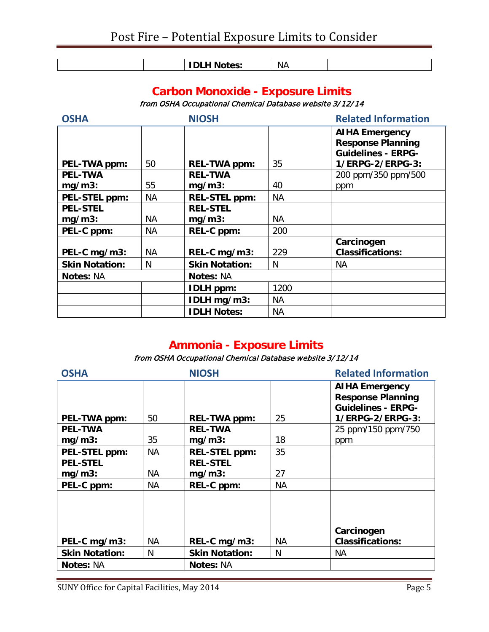| NА<br>. .<br>$- -$<br>.<br>--- |  |
|--------------------------------|--|

# **Carbon Monoxide - Exposure Limits**

from OSHA Occupational Chemical Database website 3/12/14

| <b>OSHA</b>           |           | <b>NIOSH</b>          |           | <b>Related Information</b>                                                                         |  |
|-----------------------|-----------|-----------------------|-----------|----------------------------------------------------------------------------------------------------|--|
| PEL-TWA ppm:          | 50        | <b>REL-TWA ppm:</b>   | 35        | <b>AIHA Emergency</b><br><b>Response Planning</b><br><b>Guidelines - ERPG-</b><br>1/ERPG-2/ERPG-3: |  |
| <b>PEL-TWA</b>        |           | <b>REL-TWA</b>        |           | 200 ppm/350 ppm/500                                                                                |  |
| $mg/m3$ :             | 55        | $mg/m3$ :             | 40        | ppm                                                                                                |  |
| <b>PEL-STEL ppm:</b>  | <b>NA</b> | <b>REL-STEL ppm:</b>  | <b>NA</b> |                                                                                                    |  |
| <b>PEL-STEL</b>       |           | <b>REL-STEL</b>       |           |                                                                                                    |  |
| $mg/m3$ :             | ΝA        | $mg/m3$ :             | <b>NA</b> |                                                                                                    |  |
| PEL-C ppm:            | NА        | REL-C ppm:            | 200       |                                                                                                    |  |
| PEL-C mg/m3:          | NА        | REL-C mg/m3:          | 229       | Carcinogen<br><b>Classifications:</b>                                                              |  |
| <b>Skin Notation:</b> | N         | <b>Skin Notation:</b> | N         | <b>NA</b>                                                                                          |  |
| <b>Notes: NA</b>      |           | <b>Notes: NA</b>      |           |                                                                                                    |  |
|                       |           | <b>IDLH</b> ppm:      | 1200      |                                                                                                    |  |
|                       |           | IDLH mg/m3:           | <b>NA</b> |                                                                                                    |  |
|                       |           | <b>IDLH Notes:</b>    | <b>NA</b> |                                                                                                    |  |

# **Ammonia - Exposure Limits**

## from OSHA Occupational Chemical Database website 3/12/14

| <b>OSHA</b>           |           | <b>NIOSH</b>          |           | <b>Related Information</b>                                                                         |  |
|-----------------------|-----------|-----------------------|-----------|----------------------------------------------------------------------------------------------------|--|
| PEL-TWA ppm:          | 50        | <b>REL-TWA ppm:</b>   | 25        | <b>AIHA Emergency</b><br><b>Response Planning</b><br><b>Guidelines - ERPG-</b><br>1/ERPG-2/ERPG-3: |  |
| <b>PEL-TWA</b>        |           | <b>REL-TWA</b>        |           | 25 ppm/150 ppm/750                                                                                 |  |
| $mg/m3$ :             | 35        | $mg/m3$ :             | 18        | ppm                                                                                                |  |
| PEL-STEL ppm:         | <b>NA</b> | <b>REL-STEL ppm:</b>  | 35        |                                                                                                    |  |
| <b>PEL-STEL</b>       |           | <b>REL-STEL</b>       |           |                                                                                                    |  |
| $mg/m3$ :             | NА        | $mg/m3$ :             | 27        |                                                                                                    |  |
| PEL-C ppm:            | NА        | REL-C ppm:            | <b>NA</b> |                                                                                                    |  |
| PEL-C mg/m3:          | NА        | REL-C mg/m3:          | NА        | Carcinogen<br><b>Classifications:</b>                                                              |  |
| <b>Skin Notation:</b> | N         | <b>Skin Notation:</b> | N         | NА                                                                                                 |  |
| <b>Notes: NA</b>      |           | <b>Notes: NA</b>      |           |                                                                                                    |  |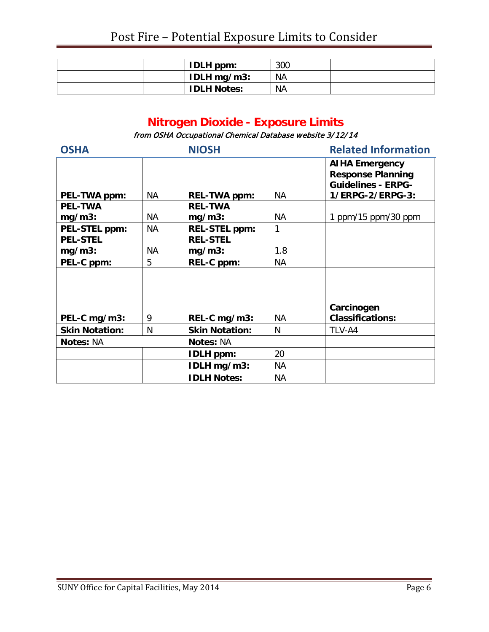|  | <b>IDLH</b> ppm:   | 300       |  |
|--|--------------------|-----------|--|
|  | IDLH $mg/m3$ :     | <b>NA</b> |  |
|  | <b>IDLH Notes:</b> | <b>NA</b> |  |

# **Nitrogen Dioxide - Exposure Limits**

from OSHA Occupational Chemical Database website 3/12/14

| <b>OSHA</b>           |           | <b>NIOSH</b>          |     | <b>Related Information</b>                                                                         |  |
|-----------------------|-----------|-----------------------|-----|----------------------------------------------------------------------------------------------------|--|
| PEL-TWA ppm:          | NA.       | <b>REL-TWA ppm:</b>   | NА  | <b>AIHA Emergency</b><br><b>Response Planning</b><br><b>Guidelines - ERPG-</b><br>1/ERPG-2/ERPG-3: |  |
| <b>PEL-TWA</b>        |           | <b>REL-TWA</b>        |     |                                                                                                    |  |
| $mg/m3$ :             | NА        | $mg/m3$ :             | NА  | 1 ppm/15 ppm/30 ppm                                                                                |  |
| <b>PEL-STEL ppm:</b>  | <b>NA</b> | <b>REL-STEL ppm:</b>  | 1   |                                                                                                    |  |
| <b>PEL-STEL</b>       |           | <b>REL-STEL</b>       |     |                                                                                                    |  |
| $mg/m3$ :             | NA.       | $mg/m3$ :             | 1.8 |                                                                                                    |  |
| PEL-C ppm:            | 5         | REL-C ppm:            | NА  |                                                                                                    |  |
| PEL-C mg/m3:          | 9         | REL-C mg/m3:          | NА  | Carcinogen<br><b>Classifications:</b>                                                              |  |
| <b>Skin Notation:</b> | N         | <b>Skin Notation:</b> | N   | TLV-A4                                                                                             |  |
| <b>Notes: NA</b>      |           | <b>Notes: NA</b>      |     |                                                                                                    |  |
|                       |           | <b>IDLH</b> ppm:      | 20  |                                                                                                    |  |
|                       |           | IDLH mg/m3:           | NА  |                                                                                                    |  |
|                       |           | <b>IDLH Notes:</b>    | NА  |                                                                                                    |  |